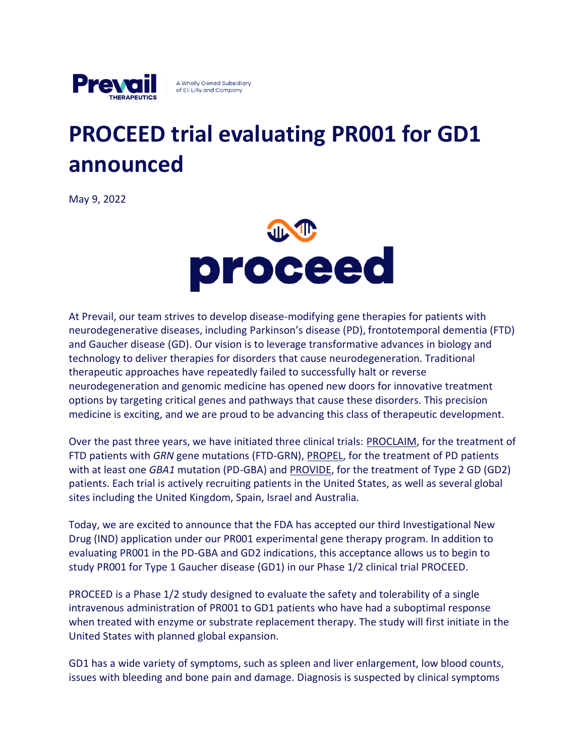

## **PROCEED trial evaluating PR001 for GD1 announced**

May 9, 2022



At Prevail, our team strives to develop disease-modifying gene therapies for patients with neurodegenerative diseases, including Parkinson's disease (PD), frontotemporal dementia (FTD) and Gaucher disease (GD). Our vision is to leverage transformative advances in biology and technology to deliver therapies for disorders that cause neurodegeneration. Traditional therapeutic approaches have repeatedly failed to successfully halt or reverse neurodegeneration and genomic medicine has opened new doors for innovative treatment options by targeting critical genes and pathways that cause these disorders. This precision medicine is exciting, and we are proud to be advancing this class of therapeutic development.

Over the past three years, we have initiated three clinical trials: [PROCLAIM,](https://clinicaltrials.gov/ct2/show/NCT04408625?term=Prevail+Therapeutics&draw=2&rank=1) for the treatment of FTD patients with *GRN* gene mutations (FTD-GRN), [PROPEL,](https://clinicaltrials.gov/ct2/show/NCT04127578?term=Prevail+Therapeutics&draw=2&rank=3) for the treatment of PD patients with at least one *GBA1* mutation (PD-GBA) and [PROVIDE,](https://clinicaltrials.gov/ct2/show/NCT04411654?term=Prevail+Therapeutics&draw=2&rank=2) for the treatment of Type 2 GD (GD2) patients. Each trial is actively recruiting patients in the United States, as well as several global sites including the United Kingdom, Spain, Israel and Australia.

Today, we are excited to announce that the FDA has accepted our third Investigational New Drug (IND) application under our PR001 experimental gene therapy program. In addition to evaluating PR001 in the PD-GBA and GD2 indications, this acceptance allows us to begin to study PR001 for Type 1 Gaucher disease (GD1) in our Phase 1/2 clinical trial PROCEED.

PROCEED is a Phase 1/2 study designed to evaluate the safety and tolerability of a single intravenous administration of PR001 to GD1 patients who have had a suboptimal response when treated with enzyme or substrate replacement therapy. The study will first initiate in the United States with planned global expansion.

GD1 has a wide variety of symptoms, such as spleen and liver enlargement, low blood counts, issues with bleeding and bone pain and damage. Diagnosis is suspected by clinical symptoms